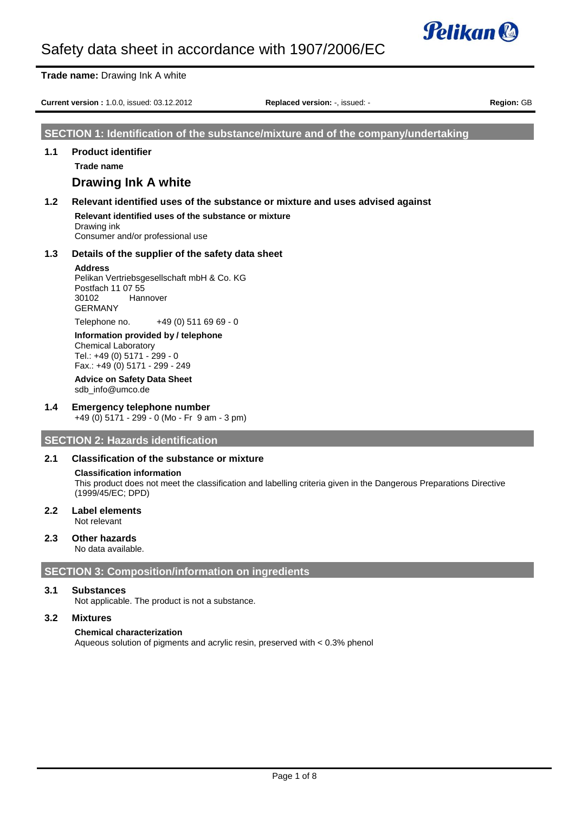

|                                                                                            | <b>Trade name: Drawing Ink A white</b>                                                                                                                                                                                                   |                                                                                   |  |  |
|--------------------------------------------------------------------------------------------|------------------------------------------------------------------------------------------------------------------------------------------------------------------------------------------------------------------------------------------|-----------------------------------------------------------------------------------|--|--|
| Current version: 1.0.0, issued: 03.12.2012<br>Region: GB<br>Replaced version: -, issued: - |                                                                                                                                                                                                                                          |                                                                                   |  |  |
|                                                                                            |                                                                                                                                                                                                                                          | SECTION 1: Identification of the substance/mixture and of the company/undertaking |  |  |
| 1.1                                                                                        | <b>Product identifier</b><br>Trade name<br><b>Drawing Ink A white</b>                                                                                                                                                                    |                                                                                   |  |  |
| 1.2                                                                                        | Relevant identified uses of the substance or mixture and uses advised against<br>Relevant identified uses of the substance or mixture<br>Drawing ink<br>Consumer and/or professional use                                                 |                                                                                   |  |  |
| 1.3                                                                                        | Details of the supplier of the safety data sheet<br><b>Address</b><br>Pelikan Vertriebsgesellschaft mbH & Co. KG<br>Postfach 11 07 55<br>30102<br>Hannover<br><b>GERMANY</b>                                                             |                                                                                   |  |  |
|                                                                                            | $+49(0)$ 511 69 69 - 0<br>Telephone no.<br>Information provided by / telephone<br><b>Chemical Laboratory</b><br>Tel.: +49 (0) 5171 - 299 - 0<br>Fax.: +49 (0) 5171 - 299 - 249<br><b>Advice on Safety Data Sheet</b><br>sdb info@umco.de |                                                                                   |  |  |

#### **1.4 Emergency telephone number** +49 (0) 5171 - 299 - 0 (Mo - Fr 9 am - 3 pm)

**SECTION 2: Hazards identification**

### **2.1 Classification of the substance or mixture**

#### **Classification information**

This product does not meet the classification and labelling criteria given in the Dangerous Preparations Directive (1999/45/EC; DPD)

**2.2 Label elements** Not relevant

### **2.3 Other hazards**

No data available.

## **SECTION 3: Composition/information on ingredients**

#### **3.1 Substances**

Not applicable. The product is not a substance.

## **3.2 Mixtures**

## **Chemical characterization**

Aqueous solution of pigments and acrylic resin, preserved with < 0.3% phenol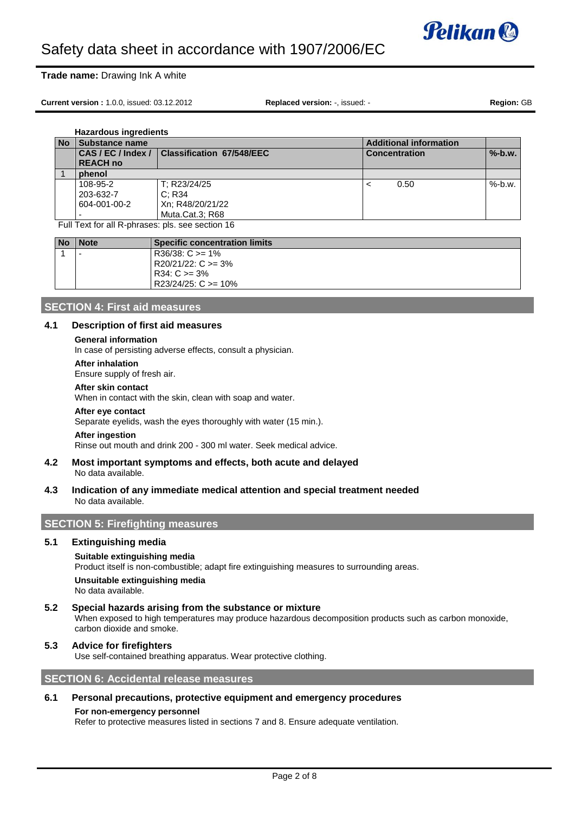

#### **Trade name:** Drawing Ink A white

**Current version :** 1.0.0, issued: 03.12.2012 **Replaced version:** -, issued: - **Region:** GB

**Hazardous ingredients No** Substance name<br> **CAS/EC/Index/ Classification 67/548/EEC** CONCERNITY CONSIDERED CONSIDER **CAS / EC / Index / REACH no Classification 67/548/EEC Concentration** Concentration **%-b.w.** 1 **phenol** 108-95-2 203-632-7 604-001-00-2 - T; R23/24/25 C; R34 Xn; R48/20/21/22 Muta.Cat.3; R68  $\lt$  0.50 %-b.w.

Full Text for all R-phrases: pls. see section 16

| <b>No</b> | <b>Note</b>              | <b>Specific concentration limits</b> |
|-----------|--------------------------|--------------------------------------|
|           | $\overline{\phantom{a}}$ | $R36/38$ : C $>= 1\%$                |
|           |                          | $R20/21/22$ : C $>=$ 3%              |
|           |                          | $R34: C \ge 3\%$                     |
|           |                          | $R23/24/25$ : C $>= 10\%$            |

## **SECTION 4: First aid measures**

## **4.1 Description of first aid measures**

## **General information**

In case of persisting adverse effects, consult a physician.

#### **After inhalation**

Ensure supply of fresh air.

#### **After skin contact**

When in contact with the skin, clean with soap and water.

#### **After eye contact**

Separate eyelids, wash the eyes thoroughly with water (15 min.).

#### **After ingestion**

Rinse out mouth and drink 200 - 300 ml water. Seek medical advice.

## **4.2 Most important symptoms and effects, both acute and delayed**

No data available.

#### **4.3 Indication of any immediate medical attention and special treatment needed** No data available.

## **SECTION 5: Firefighting measures**

## **5.1 Extinguishing media**

#### **Suitable extinguishing media**

Product itself is non-combustible; adapt fire extinguishing measures to surrounding areas.

**Unsuitable extinguishing media** No data available.

#### **5.2 Special hazards arising from the substance or mixture** When exposed to high temperatures may produce hazardous decomposition products such as carbon monoxide, carbon dioxide and smoke.

### **5.3 Advice for firefighters**

Use self-contained breathing apparatus. Wear protective clothing.

## **SECTION 6: Accidental release measures**

#### **6.1 Personal precautions, protective equipment and emergency procedures**

#### **For non-emergency personnel**

Refer to protective measures listed in sections 7 and 8. Ensure adequate ventilation.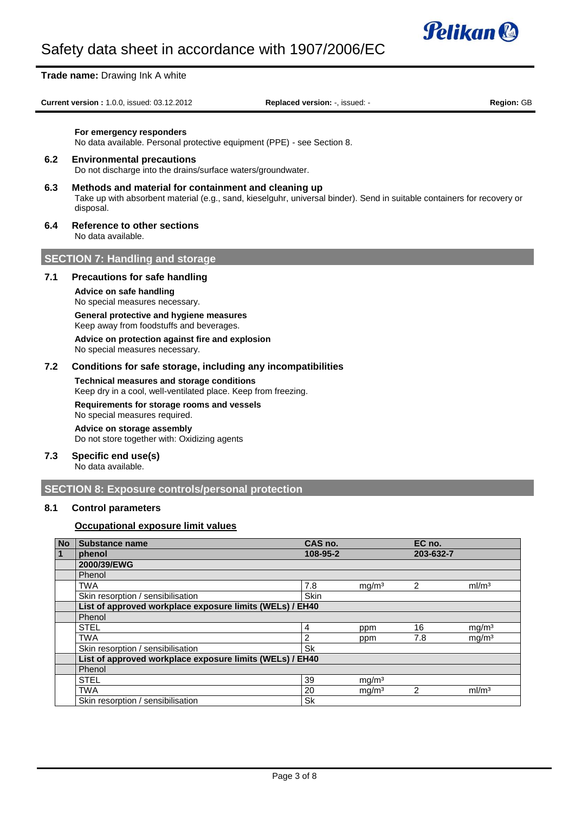

**Trade name:** Drawing Ink A white

**Current version :** 1.0.0, issued: 03.12.2012 **Replaced version:** -, issued: - **Region:** GB

#### **For emergency responders**

No data available. Personal protective equipment (PPE) - see Section 8.

#### **6.2 Environmental precautions**

Do not discharge into the drains/surface waters/groundwater.

- **6.3 Methods and material for containment and cleaning up** Take up with absorbent material (e.g., sand, kieselguhr, universal binder). Send in suitable containers for recovery or disposal.
- **6.4 Reference to other sections**

No data available.

## **SECTION 7: Handling and storage**

#### **7.1 Precautions for safe handling**

**Advice on safe handling** No special measures necessary.

# **General protective and hygiene measures**

Keep away from foodstuffs and beverages.

**Advice on protection against fire and explosion**

No special measures necessary.

## **7.2 Conditions for safe storage, including any incompatibilities**

**Technical measures and storage conditions** Keep dry in a cool, well-ventilated place. Keep from freezing.

## **Requirements for storage rooms and vessels**

No special measures required. **Advice on storage assembly**

Do not store together with: Oxidizing agents

#### **7.3 Specific end use(s)** No data available.

## **SECTION 8: Exposure controls/personal protection**

## **8.1 Control parameters**

## **Occupational exposure limit values**

| <b>No</b>      | <b>Substance name</b>                                    | CAS no.     |                   | EC no.         |                   |
|----------------|----------------------------------------------------------|-------------|-------------------|----------------|-------------------|
| $\overline{1}$ | phenol                                                   | 108-95-2    |                   | 203-632-7      |                   |
|                | 2000/39/EWG                                              |             |                   |                |                   |
|                | Phenol                                                   |             |                   |                |                   |
|                | <b>TWA</b>                                               | 7.8         | mg/m <sup>3</sup> | $\mathfrak{p}$ | ml/m <sup>3</sup> |
|                | Skin resorption / sensibilisation                        | <b>Skin</b> |                   |                |                   |
|                | List of approved workplace exposure limits (WELs) / EH40 |             |                   |                |                   |
|                | Phenol                                                   |             |                   |                |                   |
|                | <b>STEL</b>                                              | 4           | ppm               | 16             | mg/m <sup>3</sup> |
|                | <b>TWA</b>                                               | 2           | ppm               | 7.8            | mg/m <sup>3</sup> |
|                | Skin resorption / sensibilisation                        | <b>Sk</b>   |                   |                |                   |
|                | List of approved workplace exposure limits (WELs) / EH40 |             |                   |                |                   |
|                | Phenol                                                   |             |                   |                |                   |
|                | <b>STEL</b>                                              | 39          | mg/m <sup>3</sup> |                |                   |
|                | <b>TWA</b>                                               | 20          | mq/m <sup>3</sup> | $\mathfrak{p}$ | ml/m <sup>3</sup> |
|                | Skin resorption / sensibilisation                        | Sk          |                   |                |                   |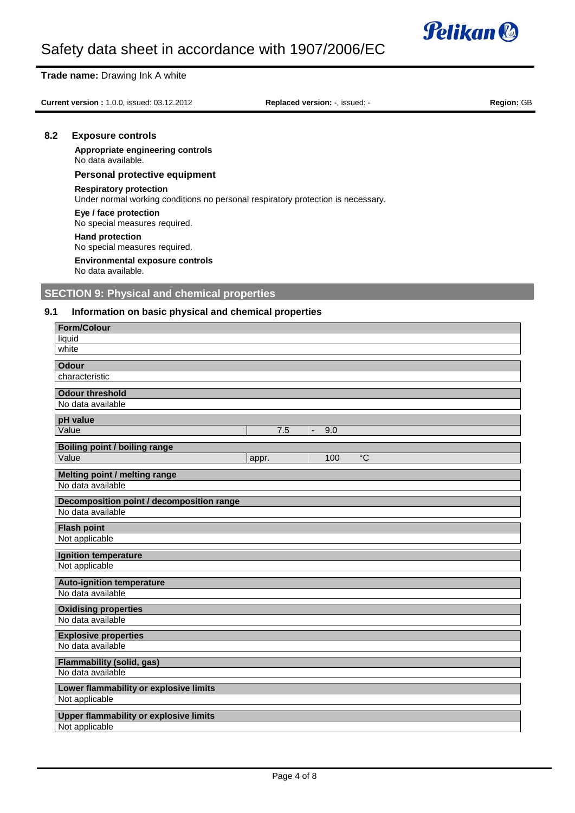

#### **Trade name:** Drawing Ink A white

**Current version :** 1.0.0, issued: 03.12.2012 **Replaced version:** -, issued: - **Region:** GB

#### **8.2 Exposure controls**

**Appropriate engineering controls** No data available.

### **Personal protective equipment**

#### **Respiratory protection**

Under normal working conditions no personal respiratory protection is necessary.

**Eye / face protection** No special measures required.

**Hand protection** No special measures required.

**Environmental exposure controls** No data available.

## **SECTION 9: Physical and chemical properties**

## **9.1 Information on basic physical and chemical properties**

| <b>Form/Colour</b>                            |  |  |
|-----------------------------------------------|--|--|
| liquid                                        |  |  |
| white                                         |  |  |
| <b>Odour</b>                                  |  |  |
| characteristic                                |  |  |
| <b>Odour threshold</b>                        |  |  |
| No data available                             |  |  |
| pH value                                      |  |  |
| Value<br>7.5<br>9.0<br>$\sim$                 |  |  |
| <b>Boiling point / boiling range</b>          |  |  |
| Value<br>$\rm ^{\circ}C$<br>100<br>appr.      |  |  |
| Melting point / melting range                 |  |  |
| No data available                             |  |  |
| Decomposition point / decomposition range     |  |  |
| No data available                             |  |  |
| <b>Flash point</b>                            |  |  |
| Not applicable                                |  |  |
|                                               |  |  |
| <b>Ignition temperature</b>                   |  |  |
| Not applicable                                |  |  |
| <b>Auto-ignition temperature</b>              |  |  |
| No data available                             |  |  |
| <b>Oxidising properties</b>                   |  |  |
| No data available                             |  |  |
| <b>Explosive properties</b>                   |  |  |
| No data available                             |  |  |
| <b>Flammability (solid, gas)</b>              |  |  |
| No data available                             |  |  |
| Lower flammability or explosive limits        |  |  |
| Not applicable                                |  |  |
| <b>Upper flammability or explosive limits</b> |  |  |
| Not applicable                                |  |  |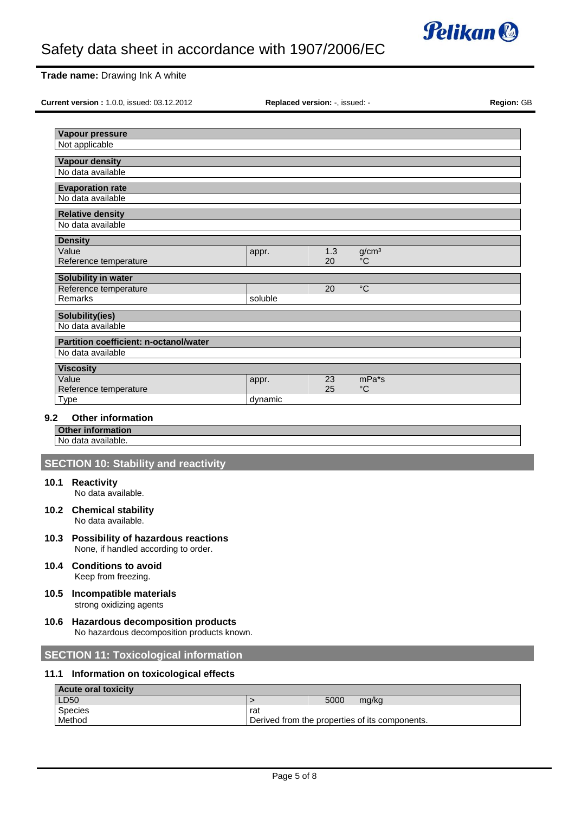

## **Trade name:** Drawing Ink A white

**Current version :** 1.0.0, issued: 03.12.2012 **Replaced version:** -, issued: - **Region:** GB

|         | Vapour pressure                                                    |         |      |                                                |
|---------|--------------------------------------------------------------------|---------|------|------------------------------------------------|
|         | Not applicable                                                     |         |      |                                                |
|         | <b>Vapour density</b>                                              |         |      |                                                |
|         | No data available                                                  |         |      |                                                |
|         | <b>Evaporation rate</b><br>No data available                       |         |      |                                                |
|         |                                                                    |         |      |                                                |
|         | <b>Relative density</b><br>No data available                       |         |      |                                                |
|         | <b>Density</b>                                                     |         |      |                                                |
|         | Value                                                              | appr.   | 1.3  | g/cm <sup>3</sup>                              |
|         | Reference temperature                                              |         | 20   | $\rm ^{\circ}C$                                |
|         | Solubility in water                                                |         |      |                                                |
|         | Reference temperature                                              |         | 20   | $^{\circ}C$                                    |
|         | Remarks                                                            | soluble |      |                                                |
|         | <b>Solubility(ies)</b><br>No data available                        |         |      |                                                |
|         |                                                                    |         |      |                                                |
|         | <b>Partition coefficient: n-octanol/water</b><br>No data available |         |      |                                                |
|         |                                                                    |         |      |                                                |
|         | <b>Viscosity</b><br>Value                                          | appr.   | 23   | $mPa*$ s                                       |
|         | Reference temperature                                              |         | 25   | $^{\circ}C$                                    |
|         | Type                                                               | dynamic |      |                                                |
| $9.2\,$ | <b>Other information</b>                                           |         |      |                                                |
|         | <b>Other information</b>                                           |         |      |                                                |
|         | No data available.                                                 |         |      |                                                |
|         | <b>SECTION 10: Stability and reactivity</b>                        |         |      |                                                |
|         |                                                                    |         |      |                                                |
|         | 10.1 Reactivity<br>No data available.                              |         |      |                                                |
|         | 10.2 Chemical stability                                            |         |      |                                                |
|         | No data available.                                                 |         |      |                                                |
|         | 10.3 Possibility of hazardous reactions                            |         |      |                                                |
|         | None, if handled according to order.                               |         |      |                                                |
| 10.4    | <b>Conditions to avoid</b>                                         |         |      |                                                |
|         | Keep from freezing.                                                |         |      |                                                |
| 10.5    | Incompatible materials                                             |         |      |                                                |
|         | strong oxidizing agents                                            |         |      |                                                |
| 10.6    | <b>Hazardous decomposition products</b>                            |         |      |                                                |
|         | No hazardous decomposition products known.                         |         |      |                                                |
|         |                                                                    |         |      |                                                |
|         | <b>SECTION 11: Toxicological information</b>                       |         |      |                                                |
| 11.1    | Information on toxicological effects                               |         |      |                                                |
|         | <b>Acute oral toxicity</b>                                         |         |      |                                                |
|         | LD50                                                               | $\,$    | 5000 | mg/kg                                          |
|         | Species<br>Method                                                  | rat     |      | Derived from the properties of its components. |
|         |                                                                    |         |      |                                                |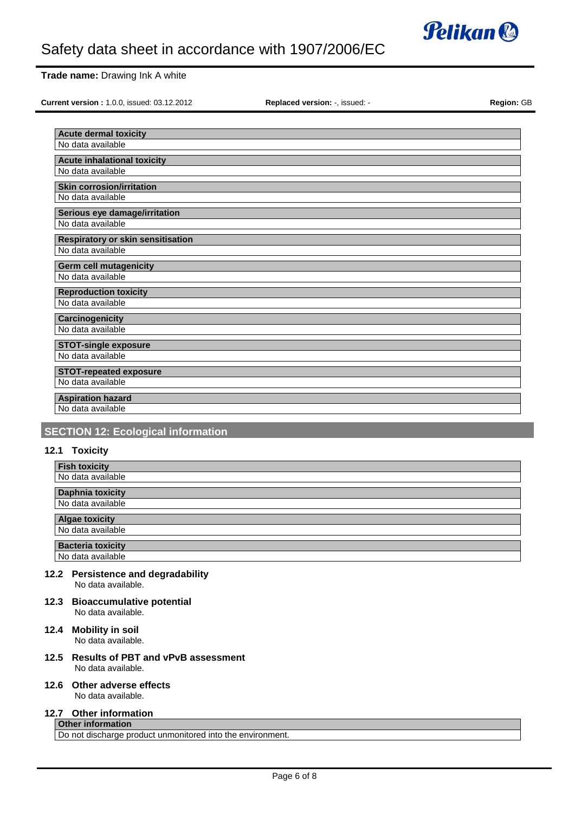

### **Trade name:** Drawing Ink A white

**Current version :** 1.0.0, issued: 03.12.2012 **Replaced version:** -, issued: - **Region:** GB

| <b>Acute dermal toxicity</b>             |
|------------------------------------------|
| No data available                        |
|                                          |
| <b>Acute inhalational toxicity</b>       |
| No data available                        |
| <b>Skin corrosion/irritation</b>         |
| No data available                        |
|                                          |
| Serious eye damage/irritation            |
| No data available                        |
| <b>Respiratory or skin sensitisation</b> |
| No data available                        |
|                                          |
| <b>Germ cell mutagenicity</b>            |
| No data available                        |
| <b>Reproduction toxicity</b>             |
| No data available                        |
| Carcinogenicity                          |
| No data available                        |
| <b>STOT-single exposure</b>              |
| No data available                        |
|                                          |
| <b>STOT-repeated exposure</b>            |
| No data available                        |
| <b>Aspiration hazard</b>                 |
| No data available                        |
|                                          |

## **SECTION 12: Ecological information**

## **12.1 Toxicity**

| <b>Fish toxicity</b>     |  |  |
|--------------------------|--|--|
| No data available        |  |  |
| <b>Daphnia toxicity</b>  |  |  |
| No data available        |  |  |
| <b>Algae toxicity</b>    |  |  |
| No data available        |  |  |
| <b>Bacteria toxicity</b> |  |  |
| No data available        |  |  |

No data available.

- **12.3 Bioaccumulative potential** No data available.
- **12.4 Mobility in soil** No data available.
- **12.5 Results of PBT and vPvB assessment** No data available.
- **12.6 Other adverse effects**

No data available.

#### **12.7 Other information Other information**

Do not discharge product unmonitored into the environment.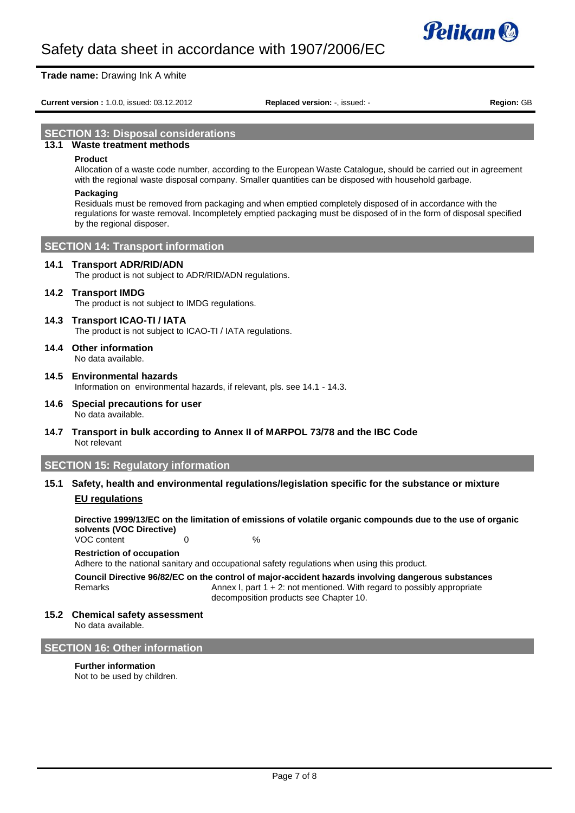

#### **Trade name:** Drawing Ink A white

**Current version :** 1.0.0, issued: 03.12.2012 **Replaced version:** -, issued: - **Region:** GB

## **SECTION 13: Disposal considerations**

## **13.1 Waste treatment methods**

#### **Product**

Allocation of a waste code number, according to the European Waste Catalogue, should be carried out in agreement with the regional waste disposal company. Smaller quantities can be disposed with household garbage.

#### **Packaging**

Residuals must be removed from packaging and when emptied completely disposed of in accordance with the regulations for waste removal. Incompletely emptied packaging must be disposed of in the form of disposal specified by the regional disposer.

## **SECTION 14: Transport information**

#### **14.1 Transport ADR/RID/ADN**

The product is not subject to ADR/RID/ADN regulations.

#### **14.2 Transport IMDG**

The product is not subject to IMDG regulations.

## **14.3 Transport ICAO-TI / IATA**

The product is not subject to ICAO-TI / IATA regulations.

**14.4 Other information** No data available.

## **14.5 Environmental hazards**

Information on environmental hazards, if relevant, pls. see 14.1 - 14.3.

- **14.6 Special precautions for user** No data available.
- **14.7 Transport in bulk according to Annex II of MARPOL 73/78 and the IBC Code** Not relevant

## **SECTION 15: Regulatory information**

## **15.1 Safety, health and environmental regulations/legislation specific for the substance or mixture**

## **EU regulations**

**Directive 1999/13/EC on the limitation of emissions of volatile organic compounds due to the use of organic solvents (VOC Directive)** VOC content 0 0 %

## **Restriction of occupation**

Adhere to the national sanitary and occupational safety regulations when using this product.

**Council Directive 96/82/EC on the control of major-accident hazards involving dangerous substances** Remarks **Annex I, part 1 + 2: not mentioned.** With regard to possibly appropriate decomposition products see Chapter 10.

### **15.2 Chemical safety assessment**

No data available.

## **SECTION 16: Other information**

**Further information** Not to be used by children.